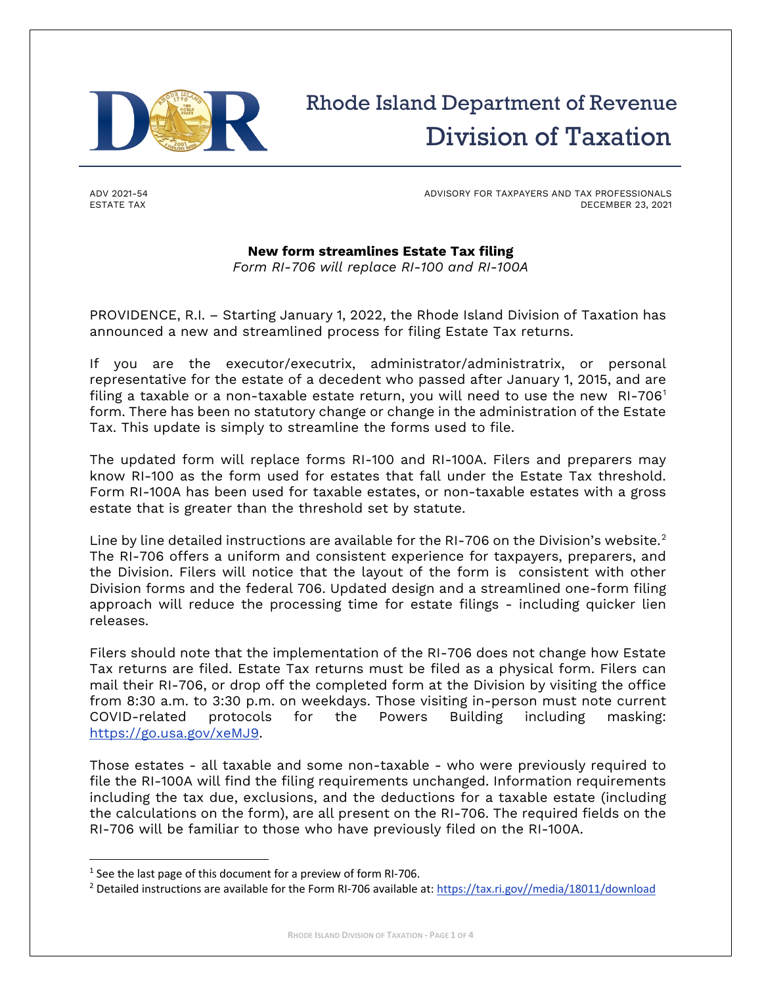

## Rhode Island Department of Revenue Division of Taxation

ADV 2021-54 ESTATE TAX

ADVISORY FOR TAXPAYERS AND TAX PROFESSIONALS DECEMBER 23, 2021

## **New form streamlines Estate Tax filing**

*Form RI-706 will replace RI-100 and RI-100A*

PROVIDENCE, R.I. – Starting January 1, 2022, the Rhode Island Division of Taxation has announced a new and streamlined process for filing Estate Tax returns.

If you are the executor/executrix, administrator/administratrix, or personal representative for the estate of a decedent who passed after January 1, 2015, and are filing a taxable or a non-taxable estate return, you will need to use the new  $RI-706<sup>1</sup>$  $RI-706<sup>1</sup>$  $RI-706<sup>1</sup>$ form. There has been no statutory change or change in the administration of the Estate Tax. This update is simply to streamline the forms used to file.

The updated form will replace forms RI-100 and RI-100A. Filers and preparers may know RI-100 as the form used for estates that fall under the Estate Tax threshold. Form RI-100A has been used for taxable estates, or non-taxable estates with a gross estate that is greater than the threshold set by statute.

Line by line detailed instructions are available for the RI-706 on the Division's website.<sup>[2](#page-0-1)</sup> The RI-706 offers a uniform and consistent experience for taxpayers, preparers, and the Division. Filers will notice that the layout of the form is consistent with other Division forms and the federal 706. Updated design and a streamlined one-form filing approach will reduce the processing time for estate filings - including quicker lien releases.

Filers should note that the implementation of the RI-706 does not change how Estate Tax returns are filed. Estate Tax returns must be filed as a physical form. Filers can mail their RI-706, or drop off the completed form at the Division by visiting the office from 8:30 a.m. to 3:30 p.m. on weekdays. Those visiting in-person must note current<br>COVID-related protocols for the Powers Building including masking: COVID-related protocols for the Powers Building including masking: [https://go.usa.gov/xeMJ9.](https://go.usa.gov/xeMJ9)

Those estates - all taxable and some non-taxable - who were previously required to file the RI-100A will find the filing requirements unchanged. Information requirements including the tax due, exclusions, and the deductions for a taxable estate (including the calculations on the form), are all present on the RI-706. The required fields on the RI-706 will be familiar to those who have previously filed on the RI-100A.

<span id="page-0-0"></span><sup>&</sup>lt;sup>1</sup> See the last page of this document for a preview of form RI-706.

<span id="page-0-1"></span><sup>&</sup>lt;sup>2</sup> Detailed instructions are available for the Form RI-706 available at: [https://tax.ri.gov//media/18011/download](https://tax.ri.gov/media/18011/download)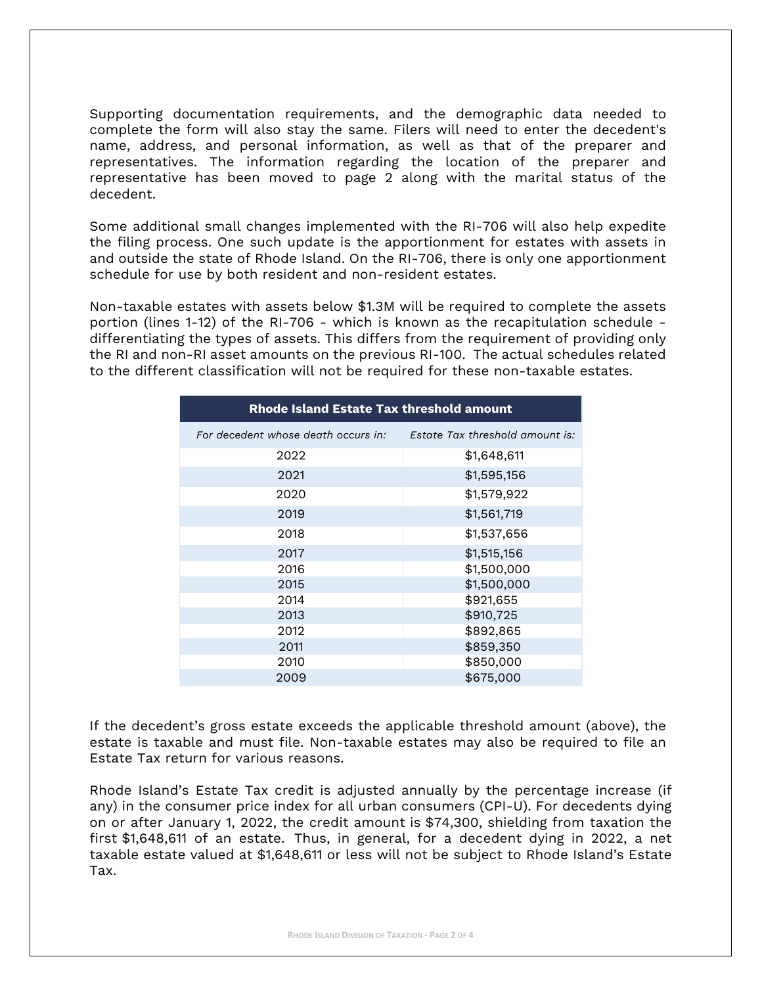Supporting documentation requirements, and the demographic data needed to complete the form will also stay the same. Filers will need to enter the decedent's name, address, and personal information, as well as that of the preparer and representatives. The information regarding the location of the preparer and representative has been moved to page 2 along with the marital status of the decedent.

Some additional small changes implemented with the RI-706 will also help expedite the filing process. One such update is the apportionment for estates with assets in and outside the state of Rhode Island. On the RI-706, there is only one apportionment schedule for use by both resident and non-resident estates.

Non-taxable estates with assets below \$1.3M will be required to complete the assets portion (lines 1-12) of the RI-706 - which is known as the recapitulation schedule differentiating the types of assets. This differs from the requirement of providing only the RI and non-RI asset amounts on the previous RI-100. The actual schedules related to the different classification will not be required for these non-taxable estates.

| Rhode Island Estate Tax threshold amount |                                 |  |  |  |  |
|------------------------------------------|---------------------------------|--|--|--|--|
| For decedent whose death occurs in:      | Estate Tax threshold amount is: |  |  |  |  |
| 2022                                     | \$1,648,611                     |  |  |  |  |
| 2021                                     | \$1,595,156                     |  |  |  |  |
| 2020                                     | \$1,579,922                     |  |  |  |  |
| 2019                                     | \$1,561,719                     |  |  |  |  |
| 2018                                     | \$1,537,656                     |  |  |  |  |
| 2017                                     | \$1,515,156                     |  |  |  |  |
| 2016                                     | \$1,500,000                     |  |  |  |  |
| 2015                                     | \$1,500,000                     |  |  |  |  |
| 2014                                     | \$921,655                       |  |  |  |  |
| 2013                                     | \$910,725                       |  |  |  |  |
| 2012                                     | \$892,865                       |  |  |  |  |
| 2011                                     | \$859,350                       |  |  |  |  |
| 2010                                     | \$850,000                       |  |  |  |  |
| 2009                                     | \$675,000                       |  |  |  |  |

If the decedent's gross estate exceeds the applicable threshold amount (above), the estate is taxable and must file. Non-taxable estates may also be required to file an Estate Tax return for various reasons.

Rhode Island's Estate Tax credit is adjusted annually by the percentage increase (if any) in the consumer price index for all urban consumers (CPI-U). For decedents dying on or after January 1, 2022, the credit amount is \$74,300, shielding from taxation the first \$1,648,611 of an estate. Thus, in general, for a decedent dying in 2022, a net taxable estate valued at \$1,648,611 or less will not be subject to Rhode Island's Estate Tax.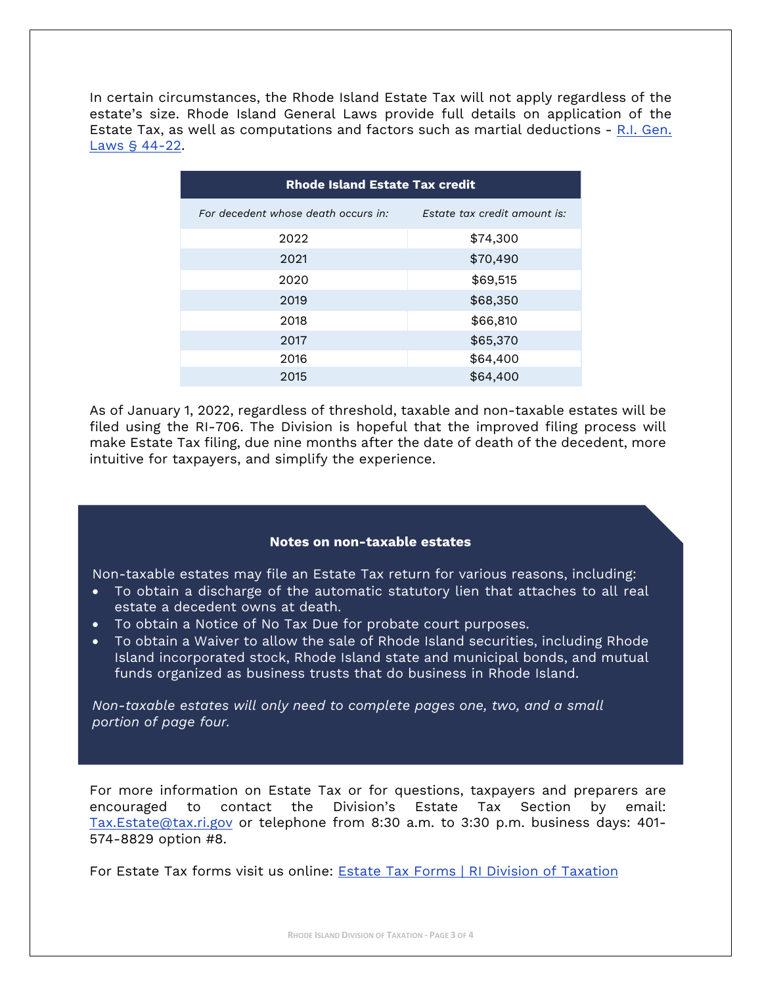In certain circumstances, the Rhode Island Estate Tax will not apply regardless of the estate's size. Rhode Island General Laws provide full details on application of the Estate Tax, as well as computations and factors such as martial deductions - [R.I. Gen.](http://webserver.rilegislature.gov/Statutes/TITLE44/44-22/INDEX.htm)  [Laws § 44-22.](http://webserver.rilegislature.gov/Statutes/TITLE44/44-22/INDEX.htm)

| <b>Rhode Island Estate Tax credit</b> |                              |  |  |  |  |
|---------------------------------------|------------------------------|--|--|--|--|
| For decedent whose death occurs in:   | Estate tax credit amount is: |  |  |  |  |
| 2022                                  | \$74,300                     |  |  |  |  |
| 2021                                  | \$70,490                     |  |  |  |  |
| 2020                                  | \$69,515                     |  |  |  |  |
| 2019                                  | \$68,350                     |  |  |  |  |
| 2018                                  | \$66,810                     |  |  |  |  |
| 2017                                  | \$65,370                     |  |  |  |  |
| 2016                                  | \$64,400                     |  |  |  |  |
| 2015                                  | \$64,400                     |  |  |  |  |

As of January 1, 2022, regardless of threshold, taxable and non-taxable estates will be filed using the RI-706. The Division is hopeful that the improved filing process will make Estate Tax filing, due nine months after the date of death of the decedent, more intuitive for taxpayers, and simplify the experience.

## **Notes on non-taxable estates**

Non-taxable estates may file an Estate Tax return for various reasons, including:

- To obtain a discharge of the automatic statutory lien that attaches to all real estate a decedent owns at death.
- To obtain a Notice of No Tax Due for probate court purposes.
- To obtain a Waiver to allow the sale of Rhode Island securities, including Rhode Island incorporated stock, Rhode Island state and municipal bonds, and mutual funds organized as business trusts that do business in Rhode Island.

*Non-taxable estates will only need to complete pages one, two, and a small portion of page four.*

For more information on Estate Tax or for questions, taxpayers and preparers are encouraged to contact the Division's Estate Tax Section by email: [Tax.Estate@tax.ri.gov](mailto:Tax.Estate@tax.ri.gov) or telephone from 8:30 a.m. to 3:30 p.m. business days: 401- 574-8829 option #8.

For Estate Tax forms visit us online: [Estate Tax Forms | RI Division of Taxation](https://tax.ri.gov/forms/individual-tax-forms/estate-tax-forms)